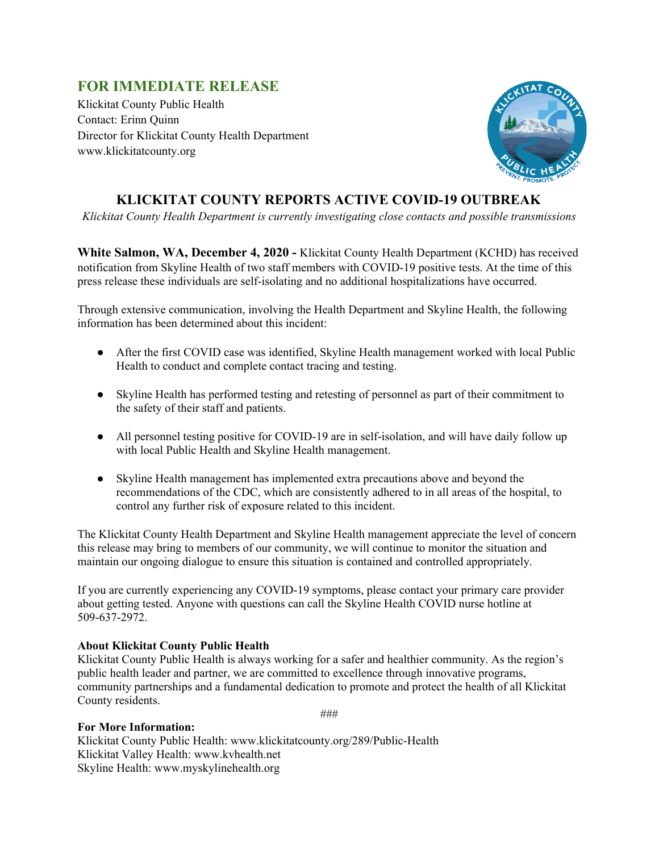## **FOR IMMEDIATE RELEASE**

Klickitat County Public Health Contact: Erinn Quinn Director for Klickitat County Health Department www.klickitatcounty.org



## **KLICKITAT COUNTY REPORTS ACTIVE COVID-19 OUTBREAK**

*Klickitat County Health Department is currently investigating close contacts and possible transmissions*

**White Salmon, WA, December 4, 2020 -** Klickitat County Health Department (KCHD) has received notification from Skyline Health of two staff members with COVID-19 positive tests. At the time of this press release these individuals are self-isolating and no additional hospitalizations have occurred.

Through extensive communication, involving the Health Department and Skyline Health, the following information has been determined about this incident:

- After the first COVID case was identified, Skyline Health management worked with local Public Health to conduct and complete contact tracing and testing.
- Skyline Health has performed testing and retesting of personnel as part of their commitment to the safety of their staff and patients.
- All personnel testing positive for COVID-19 are in self-isolation, and will have daily follow up with local Public Health and Skyline Health management.
- Skyline Health management has implemented extra precautions above and beyond the recommendations of the CDC, which are consistently adhered to in all areas of the hospital, to control any further risk of exposure related to this incident.

The Klickitat County Health Department and Skyline Health management appreciate the level of concern this release may bring to members of our community, we will continue to monitor the situation and maintain our ongoing dialogue to ensure this situation is contained and controlled appropriately.

If you are currently experiencing any COVID-19 symptoms, please contact your primary care provider about getting tested. Anyone with questions can call the Skyline Health COVID nurse hotline at 509-637-2972.

## **About Klickitat County Public Health**

Klickitat County Public Health is always working for a safer and healthier community. As the region's public health leader and partner, we are committed to excellence through innovative programs, community partnerships and a fundamental dedication to promote and protect the health of all Klickitat County residents.

###

## **For More Information:**

Klickitat County Public Health: www.klickitatcounty.org/289/Public-Health Klickitat Valley Health: www.kvhealth.net Skyline Health: www.myskylinehealth.org